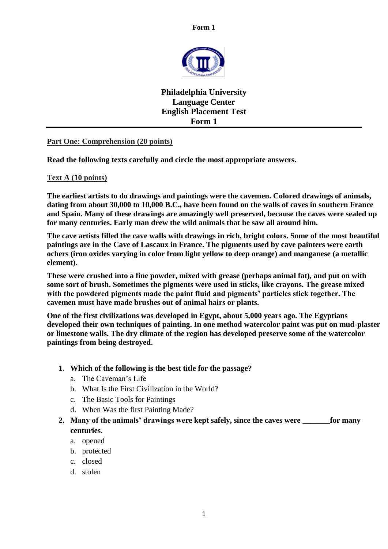

**Philadelphia University Language Center English Placement Test Form 1**

## **Part One: Comprehension (20 points)**

**Read the following texts carefully and circle the most appropriate answers.**

#### **Text A (10 points)**

**The earliest artists to do drawings and paintings were the cavemen. Colored drawings of animals, dating from about 30,000 to 10,000 B.C., have been found on the walls of caves in southern France and Spain. Many of these drawings are amazingly well preserved, because the caves were sealed up for many centuries. Early man drew the wild animals that he saw all around him.**

**The cave artists filled the cave walls with drawings in rich, bright colors. Some of the most beautiful paintings are in the Cave of Lascaux in France. The pigments used by cave painters were earth ochers (iron oxides varying in color from light yellow to deep orange) and manganese (a metallic element).** 

**These were crushed into a fine powder, mixed with grease (perhaps animal fat), and put on with some sort of brush. Sometimes the pigments were used in sticks, like crayons. The grease mixed with the powdered pigments made the paint fluid and pigments' particles stick together. The cavemen must have made brushes out of animal hairs or plants.**

**One of the first civilizations was developed in Egypt, about 5,000 years ago. The Egyptians developed their own techniques of painting. In one method watercolor paint was put on mud-plaster or limestone walls. The dry climate of the region has developed preserve some of the watercolor paintings from being destroyed.**

- **1. Which of the following is the best title for the passage?**
	- a. The Caveman's Life
	- b. What Is the First Civilization in the World?
	- c. The Basic Tools for Paintings
	- d. When Was the first Painting Made?
- **2. Many of the animals' drawings were kept safely, since the caves were \_\_\_\_\_\_\_for many centuries.**
	- a. opened
	- b. protected
	- c. closed
	- d. stolen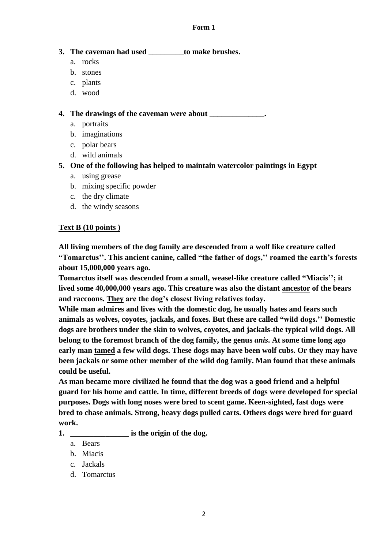# **3. The caveman had used \_\_\_\_\_\_\_\_\_to make brushes.**

- a. rocks
- b. stones
- c. plants
- d. wood

**4. The drawings of the caveman were about \_\_\_\_\_\_\_\_\_\_\_\_\_\_.**

- a. portraits
- b. imaginations
- c. polar bears
- d. wild animals

# **5. One of the following has helped to maintain watercolor paintings in Egypt**

- a. using grease
- b. mixing specific powder
- c. the dry climate
- d. the windy seasons

# **Text B (10 points )**

**All living members of the dog family are descended from a wolf like creature called "Tomarctus''. This ancient canine, called "the father of dogs,'' roamed the earth's forests about 15,000,000 years ago.**

**Tomarctus itself was descended from a small, weasel-like creature called "Miacis''; it lived some 40,000,000 years ago. This creature was also the distant ancestor of the bears and raccoons. They are the dog's closest living relatives today.**

**While man admires and lives with the domestic dog, he usually hates and fears such animals as wolves, coyotes, jackals, and foxes. But these are called "wild dogs.'' Domestic dogs are brothers under the skin to wolves, coyotes, and jackals-the typical wild dogs. All belong to the foremost branch of the dog family, the genus** *anis***. At some time long ago early man tamed a few wild dogs. These dogs may have been wolf cubs. Or they may have been jackals or some other member of the wild dog family. Man found that these animals could be useful.**

**As man became more civilized he found that the dog was a good friend and a helpful guard for his home and cattle. In time, different breeds of dogs were developed for special purposes. Dogs with long noses were bred to scent game. Keen-sighted, fast dogs were bred to chase animals. Strong, heavy dogs pulled carts. Others dogs were bred for guard work.** 

- **1. \_\_\_\_\_\_\_\_\_\_\_\_\_\_\_ is the origin of the dog.**
	- a. Bears
	- b. Miacis
	- c. Jackals
	- d. Tomarctus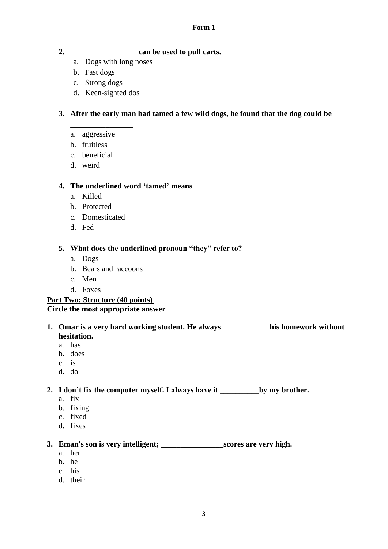- **2. \_\_\_\_\_\_\_\_\_\_\_\_\_\_\_\_\_ can be used to pull carts.**
	- a. Dogs with long noses
	- b. Fast dogs
	- c. Strong dogs
	- d. Keen-sighted dos

# **3. After the early man had tamed a few wild dogs, he found that the dog could be**

a. aggressive

**\_\_\_\_\_\_\_\_\_\_\_\_\_\_\_\_**

- b. fruitless
- c. beneficial
- d. weird

## **4. The underlined word 'tamed' means**

- a. Killed
- b. Protected
- c. Domesticated
- d. Fed

## **5. What does the underlined pronoun "they" refer to?**

- a. Dogs
- b. Bears and raccoons
- c. Men
- d. Foxes

## **Part Two: Structure (40 points) Circle the most appropriate answer**

# **1. Omar is a very hard working student. He always \_\_\_\_\_\_\_\_\_\_\_\_his homework without hesitation.**

- a. has
- b. does
- c. is
- d. do

# **2. I don't fix the computer myself. I always have it \_\_\_\_\_\_\_\_\_\_by my brother.**

- a. fix
- b. fixing
- c. fixed
- d. fixes

## **3. Eman's son is very intelligent; \_\_\_\_\_\_\_\_\_\_\_\_\_\_\_\_scores are very high.**

- a. her
- b. he
- c. his
- d. their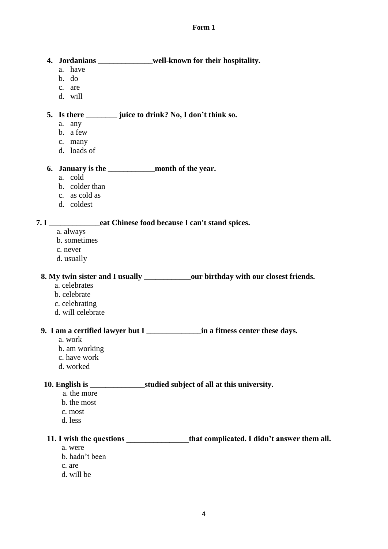#### **4. Jordanians \_\_\_\_\_\_\_\_\_\_\_\_\_\_well-known for their hospitality.**

- a. have
- b. do
- c. are
- d. will

#### **5. Is there \_\_\_\_\_\_\_\_ juice to drink? No, I don't think so.**

- a. any
- b. a few
- c. many
- d. loads of

# **6. January is the \_\_\_\_\_\_\_\_\_\_\_\_month of the year.**

- a. cold
- b. colder than
- c. as cold as
- d. coldest

#### **7. I \_\_\_\_\_\_\_\_\_\_\_\_\_eat Chinese food because I can't stand spices.**

- a. always
- b. sometimes
- c. never
- d. usually

# **8. My twin sister and I usually \_\_\_\_\_\_\_\_\_\_\_\_our birthday with our closest friends.**

- a. celebrates
- b. celebrate
- c. celebrating
- d. will celebrate

# **9. I am a certified lawyer but I \_\_\_\_\_\_\_\_\_\_\_\_\_\_in a fitness center these days.**

- a. work
- b. am working
- c. have work
- d. worked

## **10. English is \_\_\_\_\_\_\_\_\_\_\_\_\_\_studied subject of all at this university.**

- a. the more
- b. the most
- c. most
- d. less

# **11. I wish the questions \_\_\_\_\_\_\_\_\_\_\_\_\_\_\_\_that complicated. I didn't answer them all.**

- a. were
- b. hadn't been
- c. are
- d. will be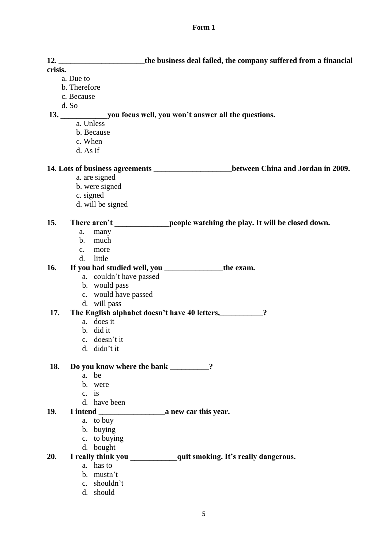| 12.        | the business deal failed, the company suffered from a financial                     |  |  |
|------------|-------------------------------------------------------------------------------------|--|--|
| crisis.    |                                                                                     |  |  |
|            | a. Due to                                                                           |  |  |
|            | b. Therefore                                                                        |  |  |
| c. Because |                                                                                     |  |  |
|            | d. So                                                                               |  |  |
|            |                                                                                     |  |  |
|            | a. Unless                                                                           |  |  |
|            | b. Because                                                                          |  |  |
|            | c. When                                                                             |  |  |
|            | d. As if                                                                            |  |  |
|            |                                                                                     |  |  |
|            | 14. Lots of business agreements __________________between China and Jordan in 2009. |  |  |
|            | a. are signed                                                                       |  |  |
|            | b. were signed                                                                      |  |  |
|            | c. signed                                                                           |  |  |
|            | d. will be signed                                                                   |  |  |
|            |                                                                                     |  |  |
| 15.        | There aren't people watching the play. It will be closed down.                      |  |  |
|            | many<br>a.                                                                          |  |  |
|            | b.<br>much                                                                          |  |  |
|            | more<br>$c_{\cdot}$                                                                 |  |  |
|            | little<br>d.                                                                        |  |  |
| 16.        | If you had studied well, you _____________________the exam.                         |  |  |
|            | a. couldn't have passed                                                             |  |  |
|            | b. would pass                                                                       |  |  |
|            | c. would have passed                                                                |  |  |
|            | d. will pass                                                                        |  |  |
| 17.        | The English alphabet doesn't have 40 letters,                                       |  |  |
|            | a. does it                                                                          |  |  |
|            | b. did it                                                                           |  |  |
|            | c. doesn't it                                                                       |  |  |
|            | d. didn't it                                                                        |  |  |
|            |                                                                                     |  |  |
| 18.        | Do you know where the bank _________?                                               |  |  |
|            | a. be                                                                               |  |  |
|            | b. were                                                                             |  |  |
|            | $c.$ is                                                                             |  |  |
|            | d. have been                                                                        |  |  |
| 19.        |                                                                                     |  |  |
|            | a. to buy                                                                           |  |  |
|            | b. buying                                                                           |  |  |
|            | c. to buying                                                                        |  |  |
|            | d. bought                                                                           |  |  |
| 20.        |                                                                                     |  |  |
|            | a. has to                                                                           |  |  |
|            | b. mustn't                                                                          |  |  |
|            | c. shouldn't                                                                        |  |  |
|            | d. should                                                                           |  |  |
|            |                                                                                     |  |  |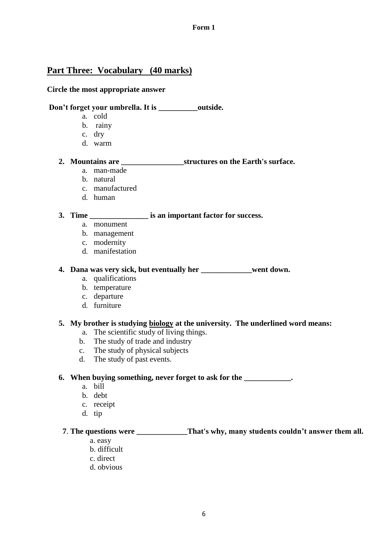# **Part Three: Vocabulary (40 marks)**

#### **Circle the most appropriate answer**

## **Don't forget your umbrella. It is \_\_\_\_\_\_\_\_\_\_outside.**

- a. cold
- b. rainy
- c. dry
- d. warm

#### **2. Mountains are \_\_\_\_\_\_\_\_\_\_\_\_\_\_\_\_structures on the Earth's surface.**

- a. man-made
- b. natural
- c. manufactured
- d. human

#### **3. Time \_\_\_\_\_\_\_\_\_\_\_\_\_\_\_ is an important factor for success.**

- a. monument
- b. management
- c. modernity
- d. manifestation

# **4. Dana was very sick, but eventually her \_\_\_\_\_\_\_\_\_\_\_\_\_went down.**

- a. qualifications
- b. temperature
- c. departure
- d. furniture

#### **5. My brother is studying biology at the university. The underlined word means:**

- a. The scientific study of living things.
- b. The study of trade and industry
- c. The study of physical subjects
- d. The study of past events.

#### **6. When buying something, never forget to ask for the \_\_\_\_\_\_\_\_\_\_\_\_.**

- a. bill
- b. debt
- c. receipt
- d. tip

## **7**. **The questions were \_\_\_\_\_\_\_\_\_\_\_\_\_That's why, many students couldn't answer them all.**

- a. easy
- b. difficult
- c. direct
- d. obvious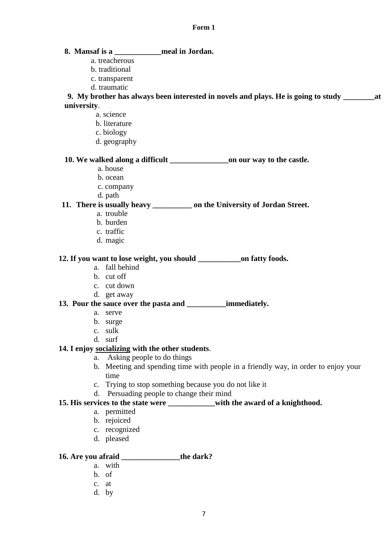# **8. Mansaf is a \_\_\_\_\_\_\_\_\_\_\_\_meal in Jordan.**

- a. treacherous
- b. traditional
- c. transparent
- d. traumatic

**9. My brother has always been interested in novels and plays. He is going to study \_\_\_\_\_\_\_\_at university**.

- a. science
- b. literature
- c. biology
- d. geography

#### **10. We walked along a difficult \_\_\_\_\_\_\_\_\_\_\_\_\_\_\_on our way to the castle.**

- a. house
- b. ocean
- c. company
- d. path

# **11. There is usually heavy \_\_\_\_\_\_\_\_\_\_ on the University of Jordan Street.**

- a. trouble
- b. burden
- c. traffic
- d. magic

#### 12. If you want to lose weight, you should on fatty foods.

- a. fall behind
- b. cut off
- c. cut down
- d. get away

# **13. Pour the sauce over the pasta and \_\_\_\_\_\_\_\_\_\_immediately.**

- a. serve
- b. surge
- c. sulk
- d. surf

## **14. I enjoy socializing with the other students**.

- a. Asking people to do things
- b. Meeting and spending time with people in a friendly way, in order to enjoy your time
- c. Trying to stop something because you do not like it
- d. Persuading people to change their mind

## **15. His services to the state were \_\_\_\_\_\_\_\_\_\_\_\_with the award of a knighthood.**

- a. permitted
- b. rejoiced
- c. recognized
- d. pleased

#### **16. Are you afraid \_\_\_\_\_\_\_\_\_\_\_\_\_\_\_the dark?**

- a. with
- b. of
- c. at
- d. by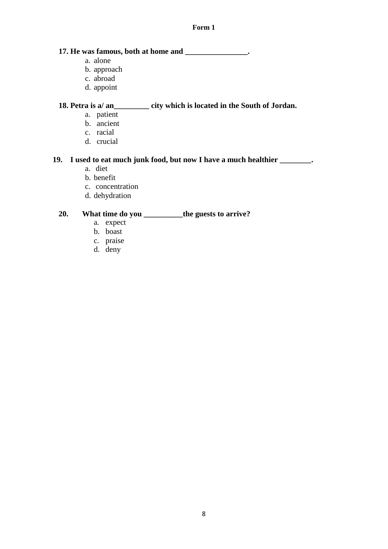#### **17. He was famous, both at home and \_\_\_\_\_\_\_\_\_\_\_\_\_\_\_\_.**

- a. alone
- b. approach
- c. abroad
- d. appoint

#### **18. Petra is a/ an\_\_\_\_\_\_\_\_\_ city which is located in the South of Jordan.**

- a. patient
- b. ancient
- c. racial
- d. crucial

#### **19. I used to eat much junk food, but now I have a much healthier \_\_\_\_\_\_\_\_.**

- a. diet
- b. benefit
- c. concentration
- d. dehydration

## **20. What time do you \_\_\_\_\_\_\_\_\_\_the guests to arrive?**

- a. expect
- b. boast
- c. praise
- d. deny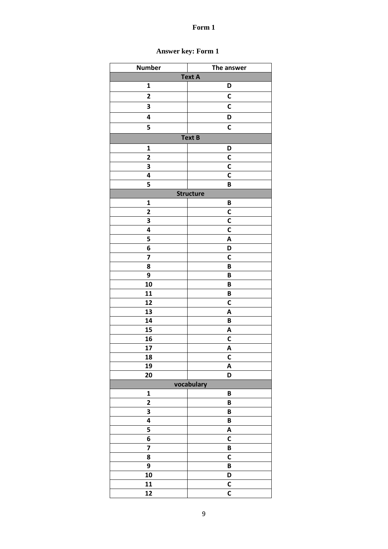| <b>Number</b>           | The answer              |  |  |
|-------------------------|-------------------------|--|--|
| <b>Text A</b>           |                         |  |  |
| $\mathbf 1$             | D                       |  |  |
| $\overline{\mathbf{c}}$ | C                       |  |  |
| 3                       | C                       |  |  |
| 4                       | D                       |  |  |
| 5                       | C                       |  |  |
| <b>Text B</b>           |                         |  |  |
| $\mathbf 1$             | D                       |  |  |
| $\overline{\mathbf{c}}$ | C                       |  |  |
| 3                       | $\mathbf c$             |  |  |
| 4                       | C                       |  |  |
| 5                       | B                       |  |  |
|                         | <b>Structure</b>        |  |  |
| $\mathbf 1$             | B                       |  |  |
| $\overline{\mathbf{c}}$ | C                       |  |  |
| 3                       | $\mathbf c$             |  |  |
| 4                       | C                       |  |  |
| 5                       | A                       |  |  |
| 6                       | D                       |  |  |
| $\overline{\mathbf{z}}$ | C                       |  |  |
| 8                       | B                       |  |  |
| 9                       | B                       |  |  |
| 10                      | B                       |  |  |
| 11                      | B                       |  |  |
| 12                      | $\mathbf C$             |  |  |
| 13                      | A                       |  |  |
| 14                      | B                       |  |  |
| 15                      | A                       |  |  |
| 16                      | C                       |  |  |
| 17                      | Α                       |  |  |
| 18                      | C                       |  |  |
| 19                      | A                       |  |  |
| 20                      | D                       |  |  |
| vocabulary              |                         |  |  |
| $\mathbf 1$             | B                       |  |  |
| $\overline{\mathbf{c}}$ | B                       |  |  |
| 3                       | B                       |  |  |
| 4                       | B                       |  |  |
| 5                       | A                       |  |  |
| 6                       | C                       |  |  |
| 7                       | $\pmb B$                |  |  |
| 8                       | C                       |  |  |
| 9                       | $\pmb B$                |  |  |
| 10                      | D                       |  |  |
| 11                      | $\mathsf{C}$            |  |  |
| 12                      | $\overline{\mathsf{c}}$ |  |  |

# Answer key: Form 1